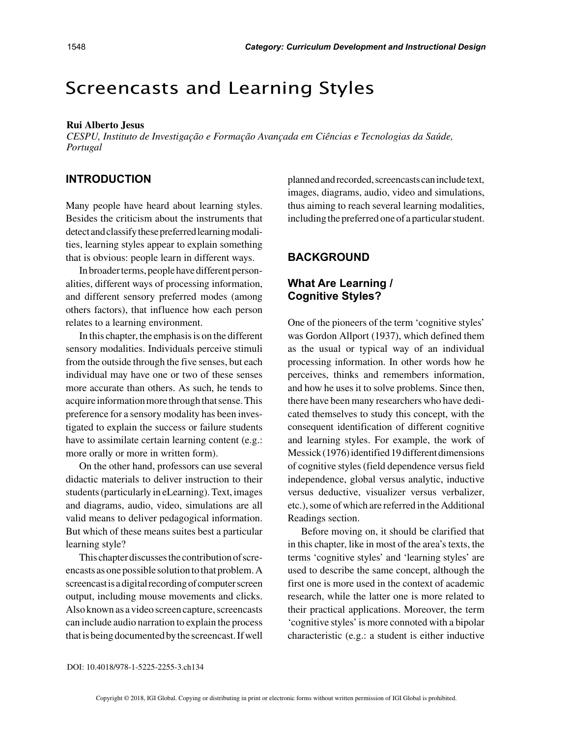# Screencasts and Learning Styles

#### **Rui Alberto Jesus**

*CESPU, Instituto de Investigação e Formação Avançada em Ciências e Tecnologias da Saúde, Portugal*

### **INTRODUCTION**

Many people have heard about learning styles. Besides the criticism about the instruments that detect and classify these preferred learning modalities, learning styles appear to explain something that is obvious: people learn in different ways.

In broader terms, people have different personalities, different ways of processing information, and different sensory preferred modes (among others factors), that influence how each person relates to a learning environment.

In this chapter, the emphasis is on the different sensory modalities. Individuals perceive stimuli from the outside through the five senses, but each individual may have one or two of these senses more accurate than others. As such, he tends to acquire information more through that sense. This preference for a sensory modality has been investigated to explain the success or failure students have to assimilate certain learning content (e.g.: more orally or more in written form).

On the other hand, professors can use several didactic materials to deliver instruction to their students (particularly in eLearning). Text, images and diagrams, audio, video, simulations are all valid means to deliver pedagogical information. But which of these means suites best a particular learning style?

This chapter discusses the contribution of screencasts as one possible solution to that problem. A screencast is a digital recording of computer screen output, including mouse movements and clicks. Also known as a video screen capture, screencasts can include audio narration to explain the process that is being documented by the screencast. If well

planned and recorded, screencasts can include text, images, diagrams, audio, video and simulations, thus aiming to reach several learning modalities, including the preferred one of a particular student.

### **BACKGROUND**

### **What Are Learning / Cognitive Styles?**

One of the pioneers of the term 'cognitive styles' was Gordon Allport (1937), which defined them as the usual or typical way of an individual processing information. In other words how he perceives, thinks and remembers information, and how he uses it to solve problems. Since then, there have been many researchers who have dedicated themselves to study this concept, with the consequent identification of different cognitive and learning styles. For example, the work of Messick (1976) identified 19 different dimensions of cognitive styles (field dependence versus field independence, global versus analytic, inductive versus deductive, visualizer versus verbalizer, etc.), some of which are referred in the Additional Readings section.

Before moving on, it should be clarified that in this chapter, like in most of the area's texts, the terms 'cognitive styles' and 'learning styles' are used to describe the same concept, although the first one is more used in the context of academic research, while the latter one is more related to their practical applications. Moreover, the term 'cognitive styles' is more connoted with a bipolar characteristic (e.g.: a student is either inductive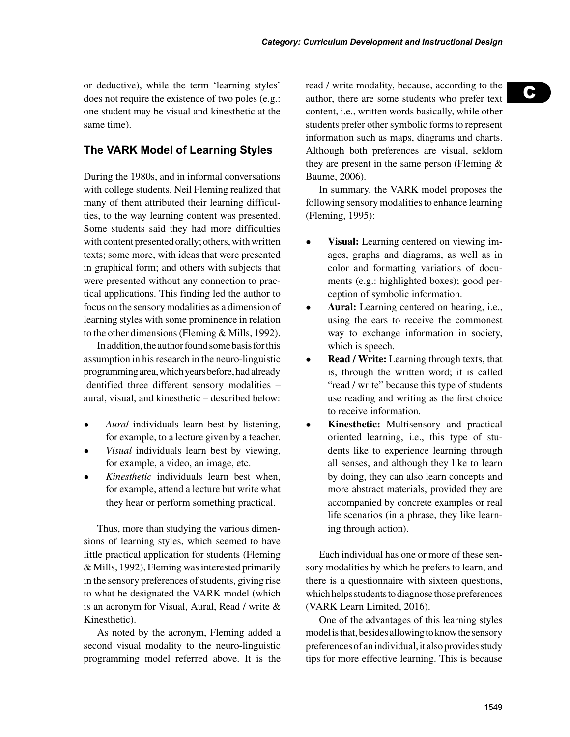or deductive), while the term 'learning styles' does not require the existence of two poles (e.g.: one student may be visual and kinesthetic at the same time).

### **The VARK Model of Learning Styles**

During the 1980s, and in informal conversations with college students, Neil Fleming realized that many of them attributed their learning difficulties, to the way learning content was presented. Some students said they had more difficulties with content presented orally; others, with written texts; some more, with ideas that were presented in graphical form; and others with subjects that were presented without any connection to practical applications. This finding led the author to focus on the sensory modalities as a dimension of learning styles with some prominence in relation to the other dimensions (Fleming & Mills, 1992).

In addition, the author found some basis for this assumption in his research in the neuro-linguistic programming area, which years before, had already identified three different sensory modalities – aural, visual, and kinesthetic – described below:

- *• Aural* individuals learn best by listening, for example, to a lecture given by a teacher.
- *• Visual* individuals learn best by viewing, for example, a video, an image, etc.
- *• Kinesthetic* individuals learn best when, for example, attend a lecture but write what they hear or perform something practical.

Thus, more than studying the various dimensions of learning styles, which seemed to have little practical application for students (Fleming & Mills, 1992), Fleming was interested primarily in the sensory preferences of students, giving rise to what he designated the VARK model (which is an acronym for Visual, Aural, Read / write & Kinesthetic).

As noted by the acronym, Fleming added a second visual modality to the neuro-linguistic programming model referred above. It is the read / write modality, because, according to the author, there are some students who prefer text content, i.e., written words basically, while other students prefer other symbolic forms to represent information such as maps, diagrams and charts. Although both preferences are visual, seldom they are present in the same person (Fleming  $\&$ Baume, 2006).

In summary, the VARK model proposes the following sensory modalities to enhance learning (Fleming, 1995):

- **Visual:** Learning centered on viewing images, graphs and diagrams, as well as in color and formatting variations of documents (e.g.: highlighted boxes); good perception of symbolic information.
- **Aural:** Learning centered on hearing, i.e., using the ears to receive the commonest way to exchange information in society, which is speech.
- **Read / Write:** Learning through texts, that is, through the written word; it is called "read / write" because this type of students use reading and writing as the first choice to receive information.
- **Kinesthetic:** Multisensory and practical oriented learning, i.e., this type of students like to experience learning through all senses, and although they like to learn by doing, they can also learn concepts and more abstract materials, provided they are accompanied by concrete examples or real life scenarios (in a phrase, they like learning through action).

Each individual has one or more of these sensory modalities by which he prefers to learn, and there is a questionnaire with sixteen questions, which helps students to diagnose those preferences (VARK Learn Limited, 2016).

One of the advantages of this learning styles model is that, besides allowing to know the sensory preferences of an individual, it also provides study tips for more effective learning. This is because